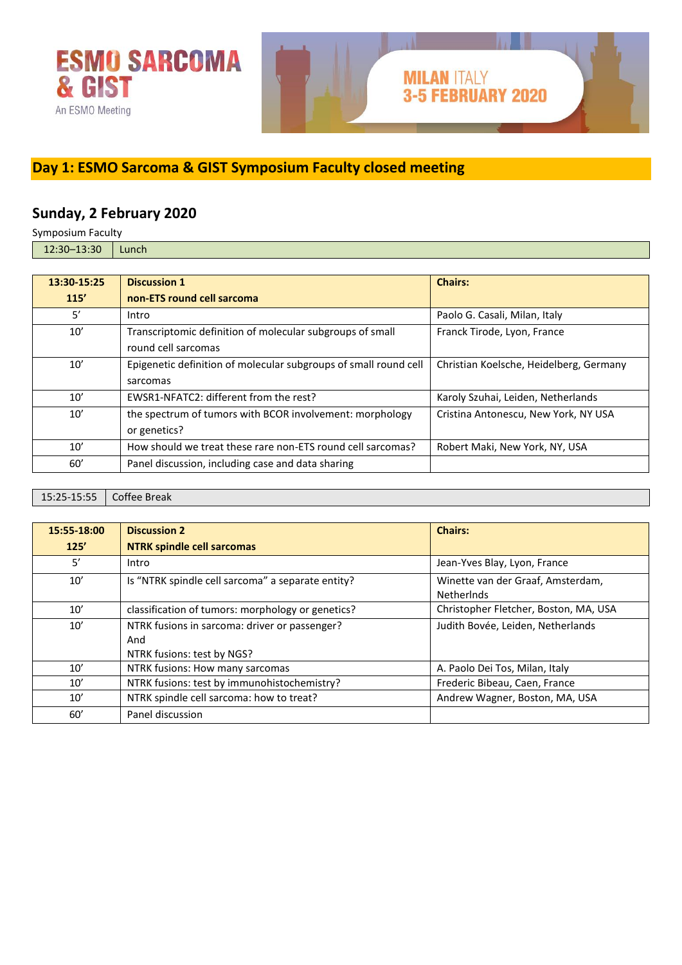

### **Day 1: ESMO Sarcoma & GIST Symposium Faculty closed meeting**

### **Sunday, 2 February 2020**

Symposium Faculty 12:30–13:30 Lunch

| 13:30-15:25 | <b>Discussion 1</b>                                              | <b>Chairs:</b>                          |
|-------------|------------------------------------------------------------------|-----------------------------------------|
| 115'        | non-ETS round cell sarcoma                                       |                                         |
| 5'          | Intro                                                            | Paolo G. Casali, Milan, Italy           |
| 10'         | Transcriptomic definition of molecular subgroups of small        | Franck Tirode, Lyon, France             |
|             | round cell sarcomas                                              |                                         |
| 10'         | Epigenetic definition of molecular subgroups of small round cell | Christian Koelsche, Heidelberg, Germany |
|             | sarcomas                                                         |                                         |
| 10'         | EWSR1-NFATC2: different from the rest?                           | Karoly Szuhai, Leiden, Netherlands      |
| 10'         | the spectrum of tumors with BCOR involvement: morphology         | Cristina Antonescu, New York, NY USA    |
|             | or genetics?                                                     |                                         |
| 10'         | How should we treat these rare non-ETS round cell sarcomas?      | Robert Maki, New York, NY, USA          |
| 60'         | Panel discussion, including case and data sharing                |                                         |

15:25-15:55 Coffee Break

| 15:55-18:00 | <b>Discussion 2</b>                                                                | <b>Chairs:</b>                                         |
|-------------|------------------------------------------------------------------------------------|--------------------------------------------------------|
| 125'        | <b>NTRK spindle cell sarcomas</b>                                                  |                                                        |
| 5'          | Intro                                                                              | Jean-Yves Blay, Lyon, France                           |
| 10'         | Is "NTRK spindle cell sarcoma" a separate entity?                                  | Winette van der Graaf, Amsterdam,<br><b>Netherlnds</b> |
| 10'         | classification of tumors: morphology or genetics?                                  | Christopher Fletcher, Boston, MA, USA                  |
| 10'         | NTRK fusions in sarcoma: driver or passenger?<br>And<br>NTRK fusions: test by NGS? | Judith Bovée, Leiden, Netherlands                      |
| 10'         | NTRK fusions: How many sarcomas                                                    | A. Paolo Dei Tos, Milan, Italy                         |
| 10'         | NTRK fusions: test by immunohistochemistry?                                        | Frederic Bibeau, Caen, France                          |
| 10'         | NTRK spindle cell sarcoma: how to treat?                                           | Andrew Wagner, Boston, MA, USA                         |
| 60'         | Panel discussion                                                                   |                                                        |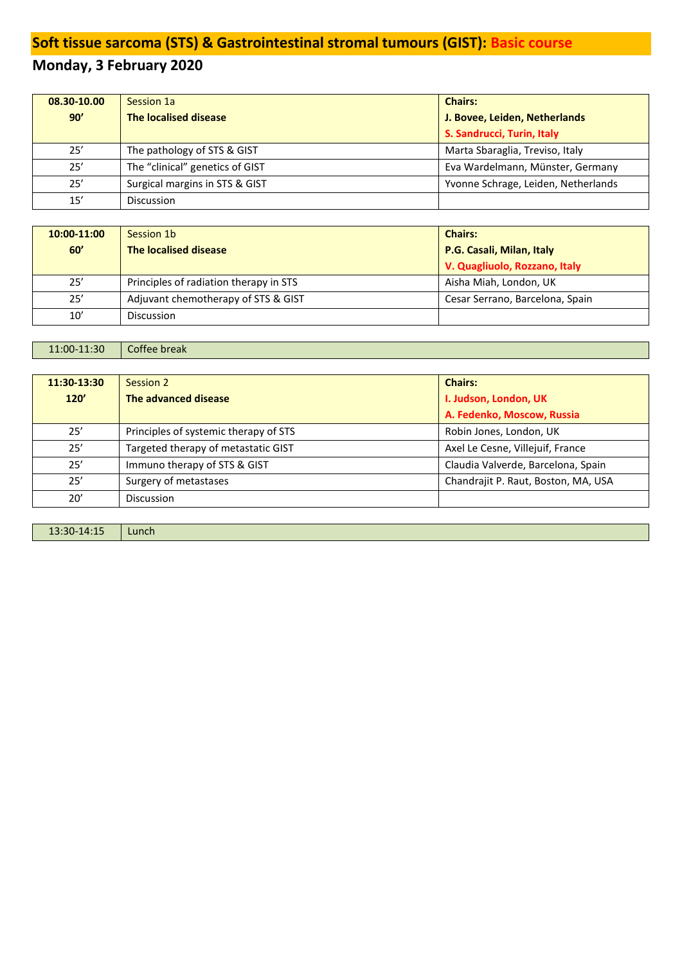# **Soft tissue sarcoma (STS) & Gastrointestinal stromal tumours (GIST): Basic course**

# **Monday, 3 February 2020**

| 08.30-10.00 | Session 1a                      | <b>Chairs:</b>                      |
|-------------|---------------------------------|-------------------------------------|
| 90'         | The localised disease           | J. Bovee, Leiden, Netherlands       |
|             |                                 | S. Sandrucci, Turin, Italy          |
| 25'         | The pathology of STS & GIST     | Marta Sbaraglia, Treviso, Italy     |
| 25'         | The "clinical" genetics of GIST | Eva Wardelmann, Münster, Germany    |
| 25'         | Surgical margins in STS & GIST  | Yvonne Schrage, Leiden, Netherlands |
| 15'         | <b>Discussion</b>               |                                     |

| 10:00-11:00 | Session 1b                             | <b>Chairs:</b>                  |
|-------------|----------------------------------------|---------------------------------|
| 60'         | The localised disease                  | P.G. Casali, Milan, Italy       |
|             |                                        | V. Quagliuolo, Rozzano, Italy   |
| 25'         | Principles of radiation therapy in STS | Aisha Miah, London, UK          |
| 25'         | Adjuvant chemotherapy of STS & GIST    | Cesar Serrano, Barcelona, Spain |
| 10'         | Discussion                             |                                 |

| $\mid$ 11:00-11:30 $\mid$ Coffee break |  |
|----------------------------------------|--|
|----------------------------------------|--|

| 11:30-13:30 | Session 2                             | <b>Chairs:</b>                      |
|-------------|---------------------------------------|-------------------------------------|
| 120'        | The advanced disease                  | I. Judson, London, UK               |
|             |                                       | A. Fedenko, Moscow, Russia          |
| 25'         | Principles of systemic therapy of STS | Robin Jones, London, UK             |
| 25'         | Targeted therapy of metastatic GIST   | Axel Le Cesne, Villejuif, France    |
| 25'         | Immuno therapy of STS & GIST          | Claudia Valverde, Barcelona, Spain  |
| 25'         | Surgery of metastases                 | Chandrajit P. Raut, Boston, MA, USA |
| 20'         | <b>Discussion</b>                     |                                     |
|             |                                       |                                     |

| 13:30-14:15 | Lunch |
|-------------|-------|
|-------------|-------|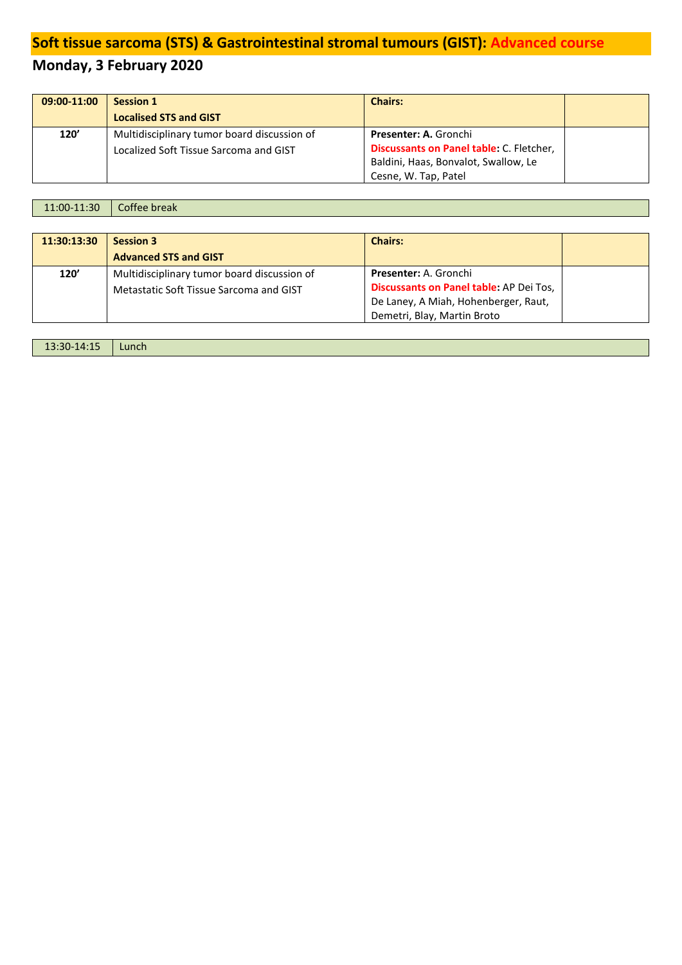# **Soft tissue sarcoma (STS) & Gastrointestinal stromal tumours (GIST): Advanced course**

# **Monday, 3 February 2020**

| 09:00-11:00 | <b>Session 1</b>                                                                      | <b>Chairs:</b>                                                           |  |
|-------------|---------------------------------------------------------------------------------------|--------------------------------------------------------------------------|--|
|             | <b>Localised STS and GIST</b>                                                         |                                                                          |  |
| 120'        | Multidisciplinary tumor board discussion of<br>Localized Soft Tissue Sarcoma and GIST | <b>Presenter: A. Gronchi</b><br>Discussants on Panel table: C. Fletcher, |  |
|             |                                                                                       | Baldini, Haas, Bonvalot, Swallow, Le                                     |  |
|             |                                                                                       | Cesne, W. Tap, Patel                                                     |  |

| $\vert$ 11:00-11:30 $\vert$ Coffee break |  |
|------------------------------------------|--|
|------------------------------------------|--|

| 11:30:13:30 | <b>Session 3</b>                            | <b>Chairs:</b>                          |  |
|-------------|---------------------------------------------|-----------------------------------------|--|
|             | <b>Advanced STS and GIST</b>                |                                         |  |
| 120'        | Multidisciplinary tumor board discussion of | <b>Presenter: A. Gronchi</b>            |  |
|             | Metastatic Soft Tissue Sarcoma and GIST     | Discussants on Panel table: AP Dei Tos, |  |
|             |                                             | De Laney, A Miah, Hohenberger, Raut,    |  |
|             |                                             | Demetri, Blay, Martin Broto             |  |
|             |                                             |                                         |  |

| 13:30-14:15<br>____ | Lunch |
|---------------------|-------|
|---------------------|-------|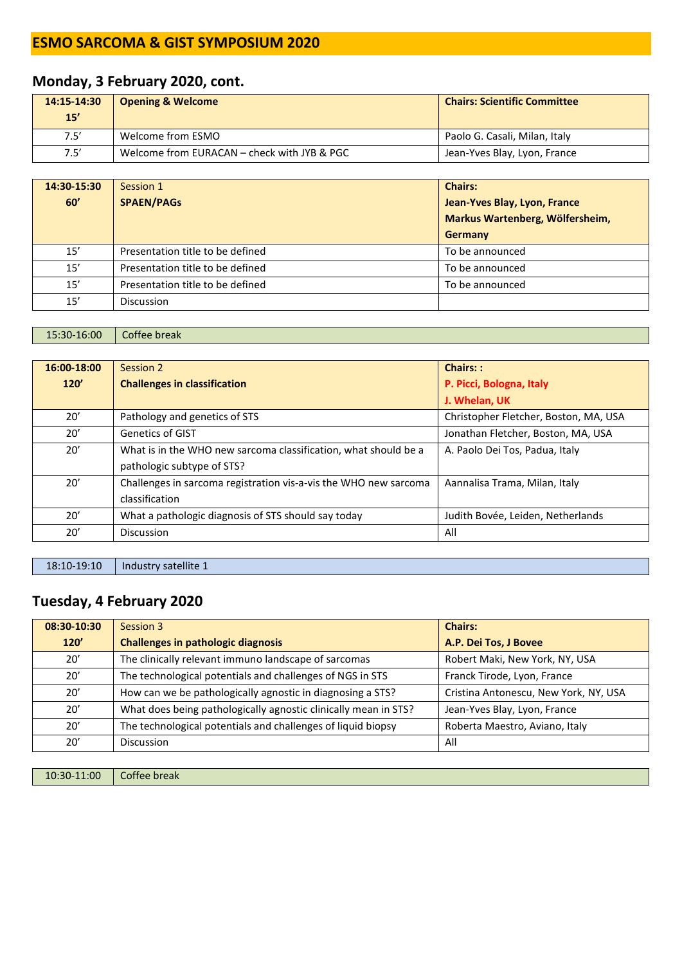### **Monday, 3 February 2020, cont.**

| 14:15-14:30<br>15' | <b>Opening &amp; Welcome</b>                | <b>Chairs: Scientific Committee</b> |
|--------------------|---------------------------------------------|-------------------------------------|
| 7.5'               | Welcome from ESMO                           | Paolo G. Casali, Milan, Italy       |
| 7.5'               | Welcome from EURACAN – check with JYB & PGC | Jean-Yves Blay, Lyon, France        |

| 14:30-15:30 | Session 1                        | <b>Chairs:</b>                  |
|-------------|----------------------------------|---------------------------------|
| 60'         | <b>SPAEN/PAGs</b>                | Jean-Yves Blay, Lyon, France    |
|             |                                  | Markus Wartenberg, Wölfersheim, |
|             |                                  | Germany                         |
| 15'         | Presentation title to be defined | To be announced                 |
| 15'         | Presentation title to be defined | To be announced                 |
| 15'         | Presentation title to be defined | To be announced                 |
| 15'         | <b>Discussion</b>                |                                 |

15:30-16:00 Coffee break

| 16:00-18:00 | Session 2                                                        | Chairs::                              |
|-------------|------------------------------------------------------------------|---------------------------------------|
| 120'        | <b>Challenges in classification</b>                              | P. Picci, Bologna, Italy              |
|             |                                                                  | J. Whelan, UK                         |
| 20'         | Pathology and genetics of STS                                    | Christopher Fletcher, Boston, MA, USA |
| 20'         | <b>Genetics of GIST</b>                                          | Jonathan Fletcher, Boston, MA, USA    |
| 20′         | What is in the WHO new sarcoma classification, what should be a  | A. Paolo Dei Tos, Padua, Italy        |
|             | pathologic subtype of STS?                                       |                                       |
| 20'         | Challenges in sarcoma registration vis-a-vis the WHO new sarcoma | Aannalisa Trama, Milan, Italy         |
|             | classification                                                   |                                       |
| 20'         | What a pathologic diagnosis of STS should say today              | Judith Bovée, Leiden, Netherlands     |
| 20′         | Discussion                                                       | All                                   |

18:10-19:10 | Industry satellite 1

### **Tuesday, 4 February 2020**

| 08:30-10:30 | Session 3                                                       | <b>Chairs:</b>                        |
|-------------|-----------------------------------------------------------------|---------------------------------------|
| 120'        | <b>Challenges in pathologic diagnosis</b>                       | A.P. Dei Tos, J Bovee                 |
| 20'         | The clinically relevant immuno landscape of sarcomas            | Robert Maki, New York, NY, USA        |
| 20'         | The technological potentials and challenges of NGS in STS       | Franck Tirode, Lyon, France           |
| 20'         | How can we be pathologically agnostic in diagnosing a STS?      | Cristina Antonescu, New York, NY, USA |
| 20'         | What does being pathologically agnostic clinically mean in STS? | Jean-Yves Blay, Lyon, France          |
| 20'         | The technological potentials and challenges of liquid biopsy    | Roberta Maestro, Aviano, Italy        |
| 20'         | <b>Discussion</b>                                               | All                                   |

10:30-11:00 Coffee break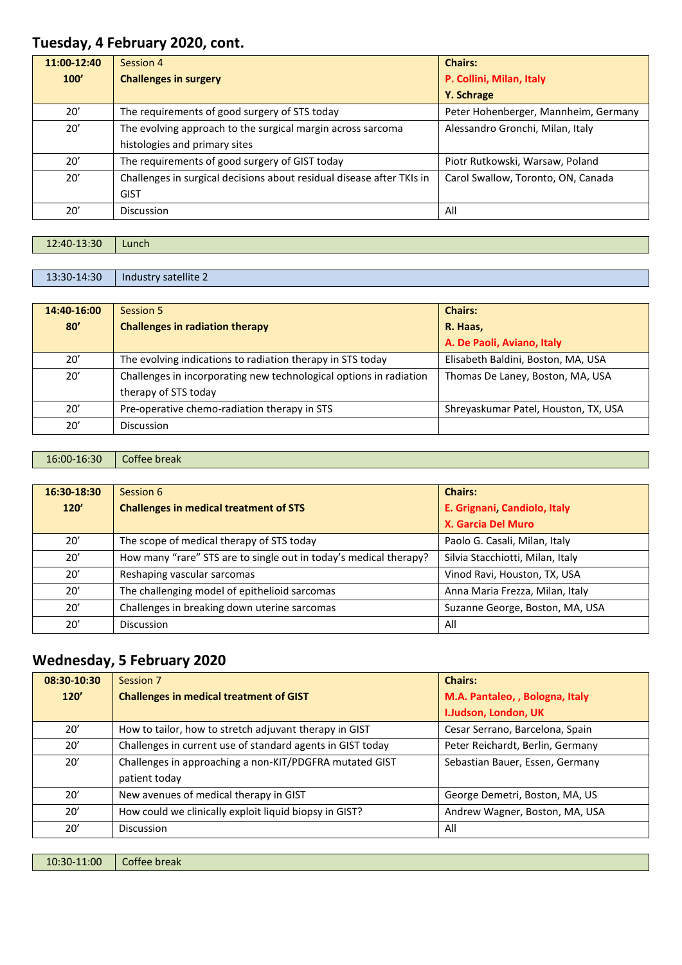### **Tuesday, 4 February 2020, cont.**

| 11:00-12:40 | Session 4                                                             | <b>Chairs:</b>                       |
|-------------|-----------------------------------------------------------------------|--------------------------------------|
| 100'        | <b>Challenges in surgery</b>                                          | P. Collini, Milan, Italy             |
|             |                                                                       | Y. Schrage                           |
| 20'         | The requirements of good surgery of STS today                         | Peter Hohenberger, Mannheim, Germany |
| 20'         | The evolving approach to the surgical margin across sarcoma           | Alessandro Gronchi, Milan, Italy     |
|             | histologies and primary sites                                         |                                      |
| 20'         | The requirements of good surgery of GIST today                        | Piotr Rutkowski, Warsaw, Poland      |
| 20'         | Challenges in surgical decisions about residual disease after TKIs in | Carol Swallow, Toronto, ON, Canada   |
|             | <b>GIST</b>                                                           |                                      |
| 20'         | Discussion                                                            | All                                  |

| 12:40-13:30 | Lunch |
|-------------|-------|
|             |       |

13:30-14:30 | Industry satellite 2

| 14:40-16:00 | Session 5                                                          | <b>Chairs:</b>                       |
|-------------|--------------------------------------------------------------------|--------------------------------------|
| 80'         | <b>Challenges in radiation therapy</b>                             | R. Haas,                             |
|             |                                                                    | A. De Paoli, Aviano, Italy           |
| 20'         | The evolving indications to radiation therapy in STS today         | Elisabeth Baldini, Boston, MA, USA   |
| 20'         | Challenges in incorporating new technological options in radiation | Thomas De Laney, Boston, MA, USA     |
|             | therapy of STS today                                               |                                      |
| 20'         | Pre-operative chemo-radiation therapy in STS                       | Shreyaskumar Patel, Houston, TX, USA |
| 20'         | <b>Discussion</b>                                                  |                                      |

#### 16:00-16:30 Coffee break

| 16:30-18:30 | Session 6                                                         | <b>Chairs:</b>                   |
|-------------|-------------------------------------------------------------------|----------------------------------|
| 120'        | <b>Challenges in medical treatment of STS</b>                     | E. Grignani, Candiolo, Italy     |
|             |                                                                   | X. Garcia Del Muro               |
| 20'         | The scope of medical therapy of STS today                         | Paolo G. Casali, Milan, Italy    |
| 20'         | How many "rare" STS are to single out in today's medical therapy? | Silvia Stacchiotti, Milan, Italy |
| 20'         | Reshaping vascular sarcomas                                       | Vinod Ravi, Houston, TX, USA     |
| 20'         | The challenging model of epithelioid sarcomas                     | Anna Maria Frezza, Milan, Italy  |
| 20'         | Challenges in breaking down uterine sarcomas                      | Suzanne George, Boston, MA, USA  |
| 20'         | <b>Discussion</b>                                                 | All                              |

### **Wednesday, 5 February 2020**

| 08:30-10:30 | Session 7                                                  | <b>Chairs:</b>                   |
|-------------|------------------------------------------------------------|----------------------------------|
| 120'        | <b>Challenges in medical treatment of GIST</b>             | M.A. Pantaleo, , Bologna, Italy  |
|             |                                                            | I.Judson, London, UK             |
| 20'         | How to tailor, how to stretch adjuvant therapy in GIST     | Cesar Serrano, Barcelona, Spain  |
| 20'         | Challenges in current use of standard agents in GIST today | Peter Reichardt, Berlin, Germany |
| 20'         | Challenges in approaching a non-KIT/PDGFRA mutated GIST    | Sebastian Bauer, Essen, Germany  |
|             | patient today                                              |                                  |
| 20'         | New avenues of medical therapy in GIST                     | George Demetri, Boston, MA, US   |
| 20'         | How could we clinically exploit liquid biopsy in GIST?     | Andrew Wagner, Boston, MA, USA   |
| 20'         | <b>Discussion</b>                                          | All                              |
|             |                                                            |                                  |

10:30-11:00 Coffee break